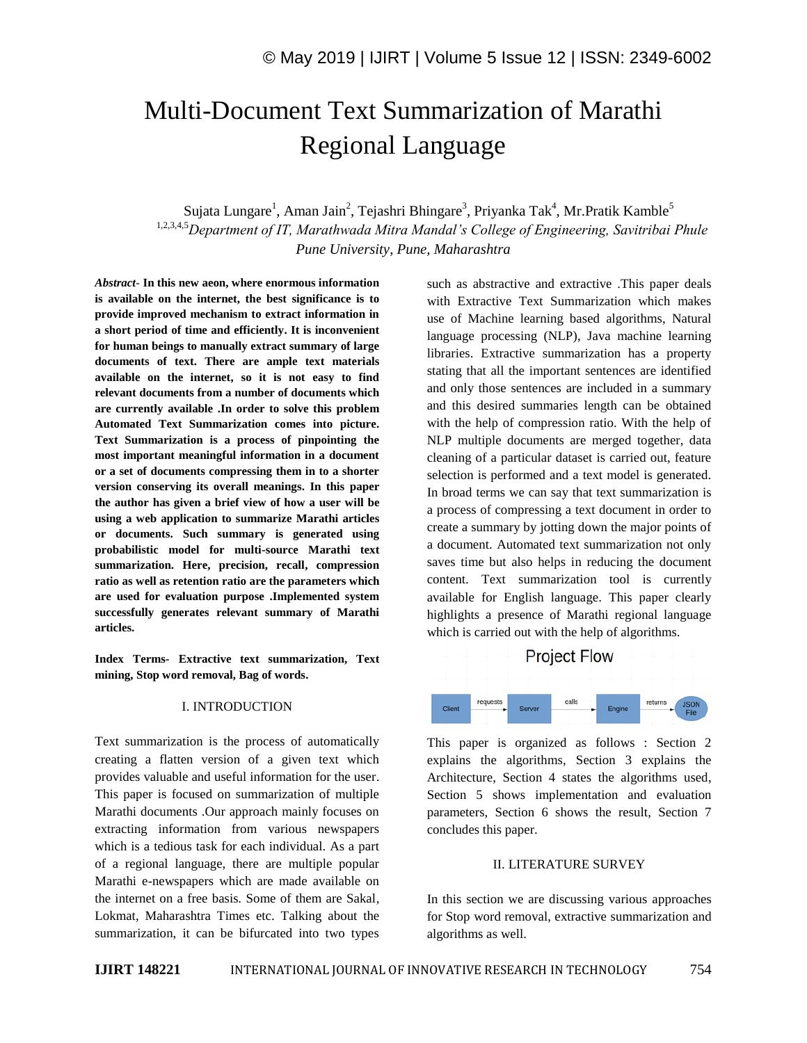# Multi-Document Text Summarization of Marathi Regional Language

Sujata Lungare<sup>1</sup>, Aman Jain<sup>2</sup>, Tejashri Bhingare<sup>3</sup>, Priyanka Tak<sup>4</sup>, Mr.Pratik Kamble<sup>5</sup> 1,2,3,4,5*Department of IT, Marathwada Mitra Mandal's College of Engineering, Savitribai Phule Pune University, Pune, Maharashtra*

*Abstract*- **In this new aeon, where enormous information is available on the internet, the best significance is to provide improved mechanism to extract information in a short period of time and efficiently. It is inconvenient for human beings to manually extract summary of large documents of text. There are ample text materials available on the internet, so it is not easy to find relevant documents from a number of documents which are currently available .In order to solve this problem Automated Text Summarization comes into picture. Text Summarization is a process of pinpointing the most important meaningful information in a document or a set of documents compressing them in to a shorter version conserving its overall meanings. In this paper the author has given a brief view of how a user will be using a web application to summarize Marathi articles or documents. Such summary is generated using probabilistic model for multi-source Marathi text summarization. Here, precision, recall, compression ratio as well as retention ratio are the parameters which are used for evaluation purpose .Implemented system successfully generates relevant summary of Marathi articles.**

**Index Terms- Extractive text summarization, Text mining, Stop word removal, Bag of words.**

#### I. INTRODUCTION

Text summarization is the process of automatically creating a flatten version of a given text which provides valuable and useful information for the user. This paper is focused on summarization of multiple Marathi documents .Our approach mainly focuses on extracting information from various newspapers which is a tedious task for each individual. As a part of a regional language, there are multiple popular Marathi e-newspapers which are made available on the internet on a free basis. Some of them are Sakal, Lokmat, Maharashtra Times etc. Talking about the summarization, it can be bifurcated into two types

such as abstractive and extractive .This paper deals with Extractive Text Summarization which makes use of Machine learning based algorithms, Natural language processing (NLP), Java machine learning libraries. Extractive summarization has a property stating that all the important sentences are identified and only those sentences are included in a summary and this desired summaries length can be obtained with the help of compression ratio. With the help of NLP multiple documents are merged together, data cleaning of a particular dataset is carried out, feature selection is performed and a text model is generated. In broad terms we can say that text summarization is a process of compressing a text document in order to create a summary by jotting down the major points of a document. Automated text summarization not only saves time but also helps in reducing the document content. Text summarization tool is currently available for English language. This paper clearly highlights a presence of Marathi regional language which is carried out with the help of algorithms.



This paper is organized as follows : Section 2 explains the algorithms, Section 3 explains the Architecture, Section 4 states the algorithms used, Section 5 shows implementation and evaluation parameters, Section 6 shows the result, Section 7 concludes this paper.

#### II. LITERATURE SURVEY

In this section we are discussing various approaches for Stop word removal, extractive summarization and algorithms as well.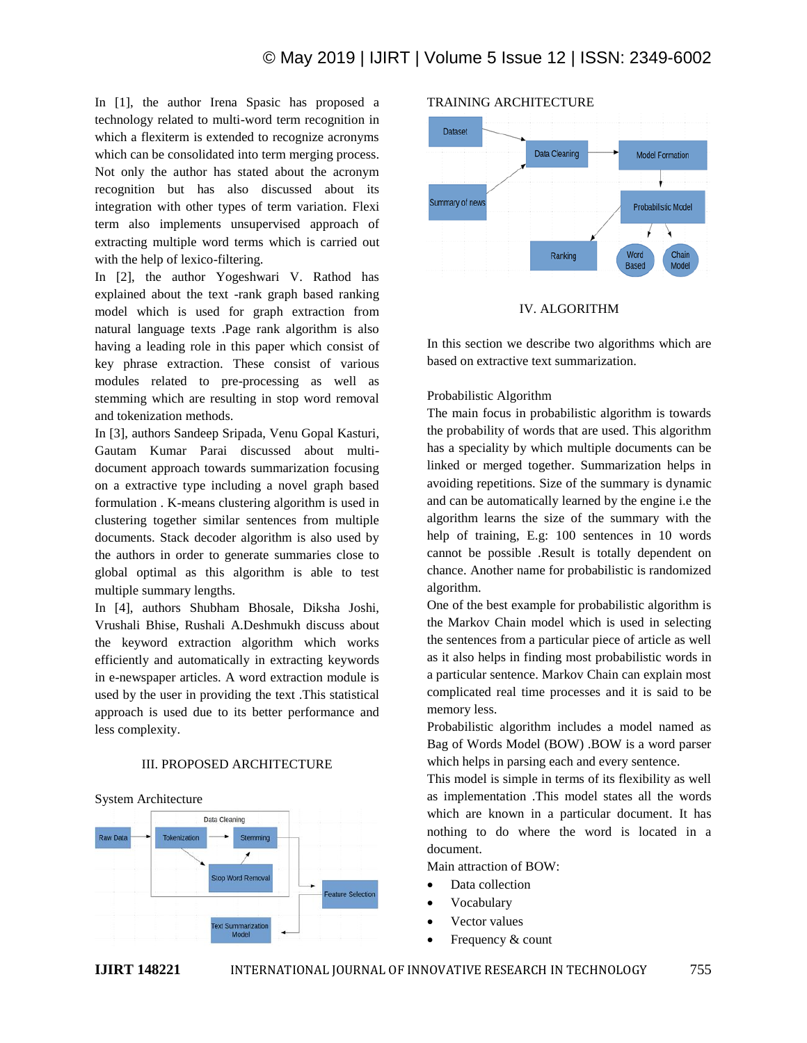In [1], the author Irena Spasic has proposed a technology related to multi-word term recognition in which a flexiterm is extended to recognize acronyms which can be consolidated into term merging process. Not only the author has stated about the acronym recognition but has also discussed about its integration with other types of term variation. Flexi term also implements unsupervised approach of extracting multiple word terms which is carried out with the help of lexico-filtering.

In [2], the author Yogeshwari V. Rathod has explained about the text -rank graph based ranking model which is used for graph extraction from natural language texts .Page rank algorithm is also having a leading role in this paper which consist of key phrase extraction. These consist of various modules related to pre-processing as well as stemming which are resulting in stop word removal and tokenization methods.

In [3], authors Sandeep Sripada, Venu Gopal Kasturi, Gautam Kumar Parai discussed about multidocument approach towards summarization focusing on a extractive type including a novel graph based formulation . K-means clustering algorithm is used in clustering together similar sentences from multiple documents. Stack decoder algorithm is also used by the authors in order to generate summaries close to global optimal as this algorithm is able to test multiple summary lengths.

In [4], authors Shubham Bhosale, Diksha Joshi, Vrushali Bhise, Rushali A.Deshmukh discuss about the keyword extraction algorithm which works efficiently and automatically in extracting keywords in e-newspaper articles. A word extraction module is used by the user in providing the text .This statistical approach is used due to its better performance and less complexity.

## III. PROPOSED ARCHITECTURE

System Architecture





#### IV. ALGORITHM

In this section we describe two algorithms which are based on extractive text summarization.

#### Probabilistic Algorithm

The main focus in probabilistic algorithm is towards the probability of words that are used. This algorithm has a speciality by which multiple documents can be linked or merged together. Summarization helps in avoiding repetitions. Size of the summary is dynamic and can be automatically learned by the engine i.e the algorithm learns the size of the summary with the help of training, E.g: 100 sentences in 10 words cannot be possible .Result is totally dependent on chance. Another name for probabilistic is randomized algorithm.

One of the best example for probabilistic algorithm is the Markov Chain model which is used in selecting the sentences from a particular piece of article as well as it also helps in finding most probabilistic words in a particular sentence. Markov Chain can explain most complicated real time processes and it is said to be memory less.

Probabilistic algorithm includes a model named as Bag of Words Model (BOW) .BOW is a word parser which helps in parsing each and every sentence.

This model is simple in terms of its flexibility as well as implementation .This model states all the words which are known in a particular document. It has nothing to do where the word is located in a document.

Main attraction of BOW:

- Data collection
- Vocabulary
- Vector values
- Frequency & count

## **IJIRT 148221** INTERNATIONAL JOURNAL OF INNOVATIVE RESEARCH IN TECHNOLOGY 755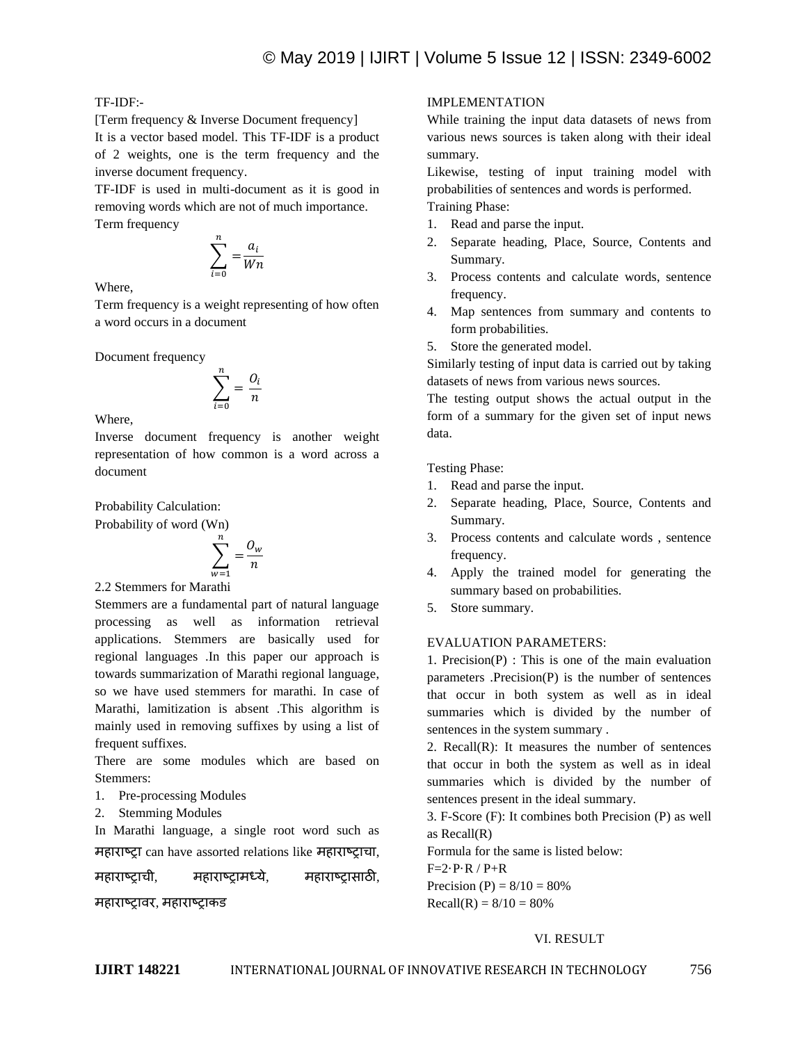## TF-IDF:-

[Term frequency & Inverse Document frequency]

It is a vector based model. This TF-IDF is a product of 2 weights, one is the term frequency and the inverse document frequency.

TF-IDF is used in multi-document as it is good in removing words which are not of much importance. Term frequency

$$
\sum_{i=0}^n = \frac{a_i}{Wn}
$$

Where,

Term frequency is a weight representing of how often a word occurs in a document

Document frequency

$$
\sum_{i=0}^n = \frac{O_i}{n}
$$

Where,

Inverse document frequency is another weight representation of how common is a word across a document

Probability Calculation:

Probability of word (Wn)

$$
\sum_{w=1}^{n} = \frac{O_w}{n}
$$

2.2 Stemmers for Marathi

Stemmers are a fundamental part of natural language processing as well as information retrieval applications. Stemmers are basically used for regional languages .In this paper our approach is towards summarization of Marathi regional language, so we have used stemmers for marathi. In case of Marathi, lamitization is absent .This algorithm is mainly used in removing suffixes by using a list of frequent suffixes.

There are some modules which are based on Stemmers:

- 1. Pre-processing Modules
- 2. Stemming Modules

In Marathi language, a single root word such as महाराष्ट्रा can have assorted relations like महाराष्ट्राचा,

महाराष्ट्राची, महाराष्ट्रामध्ये, महाराष्ट्रासाठी,

महाराष्ट्रावर, महाराष्ट्राकड

## IMPLEMENTATION

While training the input data datasets of news from various news sources is taken along with their ideal summary.

Likewise, testing of input training model with probabilities of sentences and words is performed. Training Phase:

- 1. Read and parse the input.
- 2. Separate heading, Place, Source, Contents and Summary.
- 3. Process contents and calculate words, sentence frequency.
- 4. Map sentences from summary and contents to form probabilities.
- 5. Store the generated model.

Similarly testing of input data is carried out by taking datasets of news from various news sources.

The testing output shows the actual output in the form of a summary for the given set of input news data.

Testing Phase:

- 1. Read and parse the input.
- 2. Separate heading, Place, Source, Contents and Summary.
- 3. Process contents and calculate words , sentence frequency.
- 4. Apply the trained model for generating the summary based on probabilities.
- 5. Store summary.

## EVALUATION PARAMETERS:

1. Precision(P) : This is one of the main evaluation parameters .Precision(P) is the number of sentences that occur in both system as well as in ideal summaries which is divided by the number of sentences in the system summary .

2. Recall $(R)$ : It measures the number of sentences that occur in both the system as well as in ideal summaries which is divided by the number of sentences present in the ideal summary.

3. F-Score (F): It combines both Precision (P) as well as Recall(R)

Formula for the same is listed below:

 $F=2 \cdot P \cdot R / P + R$ 

Precision (P) =  $8/10 = 80%$  $Recall(R) = 8/10 = 80%$ 

## VI. RESULT